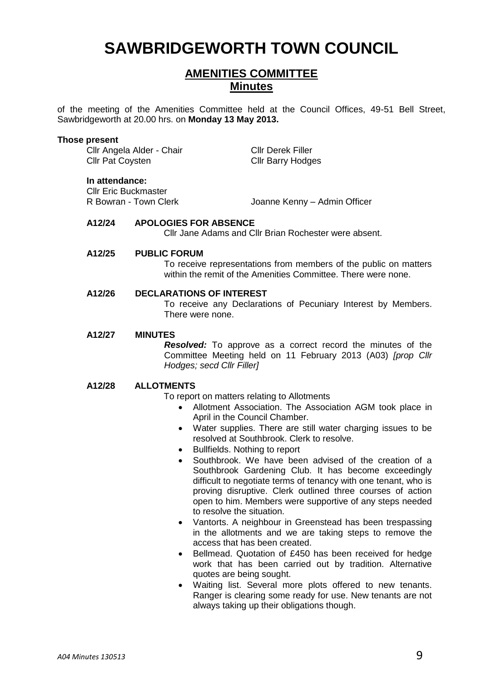# **SAWBRIDGEWORTH TOWN COUNCIL**

# **AMENITIES COMMITTEE Minutes**

of the meeting of the Amenities Committee held at the Council Offices, 49-51 Bell Street, Sawbridgeworth at 20.00 hrs. on **Monday 13 May 2013.**

#### **Those present**

Cllr Angela Alder - Chair Cllr Derek Filler Cllr Pat Coysten Cllr Barry Hodges

#### **In attendance:**

**Cllr Eric Buckmaster<br>R Bowran - Town Clerk** 

Joanne Kenny – Admin Officer

# **A12/24 APOLOGIES FOR ABSENCE**

Cllr Jane Adams and Cllr Brian Rochester were absent.

# **A12/25 PUBLIC FORUM**

To receive representations from members of the public on matters within the remit of the Amenities Committee. There were none.

#### **A12/26 DECLARATIONS OF INTEREST**

To receive any Declarations of Pecuniary Interest by Members. There were none.

#### **A12/27 MINUTES**

*Resolved:* To approve as a correct record the minutes of the Committee Meeting held on 11 February 2013 (A03) *[prop Cllr Hodges; secd Cllr Filler]*

# **A12/28 ALLOTMENTS**

To report on matters relating to Allotments

- Allotment Association. The Association AGM took place in April in the Council Chamber.
- Water supplies. There are still water charging issues to be resolved at Southbrook. Clerk to resolve.
- Bullfields. Nothing to report
- Southbrook. We have been advised of the creation of a Southbrook Gardening Club. It has become exceedingly difficult to negotiate terms of tenancy with one tenant, who is proving disruptive. Clerk outlined three courses of action open to him. Members were supportive of any steps needed to resolve the situation.
- Vantorts. A neighbour in Greenstead has been trespassing in the allotments and we are taking steps to remove the access that has been created.
- Bellmead. Quotation of £450 has been received for hedge work that has been carried out by tradition. Alternative quotes are being sought.
- Waiting list. Several more plots offered to new tenants. Ranger is clearing some ready for use. New tenants are not always taking up their obligations though.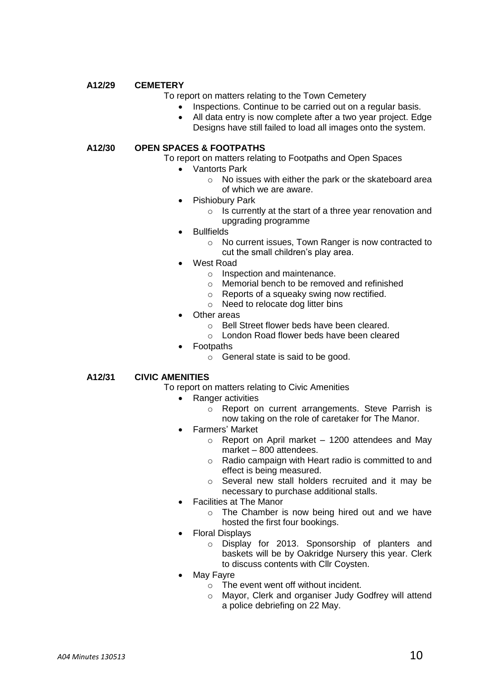# **A12/29 CEMETERY**

## To report on matters relating to the Town Cemetery

- Inspections. Continue to be carried out on a regular basis.
- All data entry is now complete after a two year project. Edge Designs have still failed to load all images onto the system.

## **A12/30 OPEN SPACES & FOOTPATHS**

To report on matters relating to Footpaths and Open Spaces

- Vantorts Park
	- o No issues with either the park or the skateboard area of which we are aware.
- Pishiobury Park
	- o Is currently at the start of a three year renovation and upgrading programme
- Bullfields
	- o No current issues, Town Ranger is now contracted to cut the small children's play area.
- West Road
	- o Inspection and maintenance.
	- o Memorial bench to be removed and refinished
	- o Reports of a squeaky swing now rectified.
	- o Need to relocate dog litter bins
- Other areas
	- o Bell Street flower beds have been cleared.
	- o London Road flower beds have been cleared
- Footpaths
	- o General state is said to be good.

# **A12/31 CIVIC AMENITIES**

- To report on matters relating to Civic Amenities
	- Ranger activities
		- o Report on current arrangements. Steve Parrish is now taking on the role of caretaker for The Manor.
		- Farmers' Market
			- $\circ$  Report on April market 1200 attendees and May market – 800 attendees.
			- o Radio campaign with Heart radio is committed to and effect is being measured.
			- o Several new stall holders recruited and it may be necessary to purchase additional stalls.
		- Facilities at The Manor
			- o The Chamber is now being hired out and we have hosted the first four bookings.
		- Floral Displays
			- o Display for 2013. Sponsorship of planters and baskets will be by Oakridge Nursery this year. Clerk to discuss contents with Cllr Coysten.
		- May Fayre
			- o The event went off without incident.
			- o Mayor, Clerk and organiser Judy Godfrey will attend a police debriefing on 22 May.